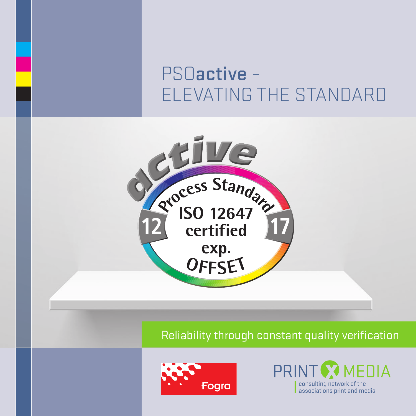# PSOactive – ELEVATING THE STANDARD



Reliability through constant quality verification



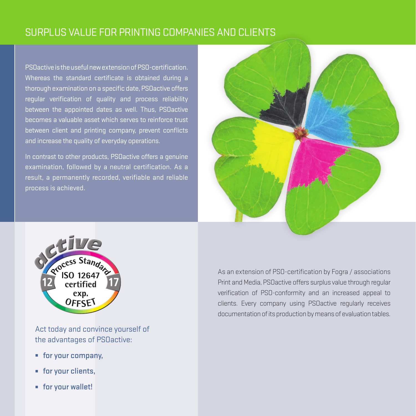### SURPLUS VALUE FOR PRINTING COMPANIES AND CLIENTS

PSOactive is the useful new extension of PSO-certification. Whereas the standard certificate is obtained during a thorough examination on a specific date, PSOactive offers regular verification of quality and process reliability between the appointed dates as well. Thus, PSOactive becomes a valuable asset which serves to reinforce trust between client and printing company, prevent conflicts and increase the quality of everyday operations.

In contrast to other products, PSOactive offers a genuine examination, followed by a neutral certification. As a result, a permanently recorded, verifiable and reliable process is achieved.



Act today and convince yourself of the advantages of PSOactive:

- for your company,
- for your clients,
- for your wallet!

As an extension of PSO-certification by Fogra / associations Print and Media, PSOactive offers surplus value through regular verification of PSO-conformity and an increased appeal to clients. Every company using PSOactive regularly receives documentation of its production by means of evaluation tables.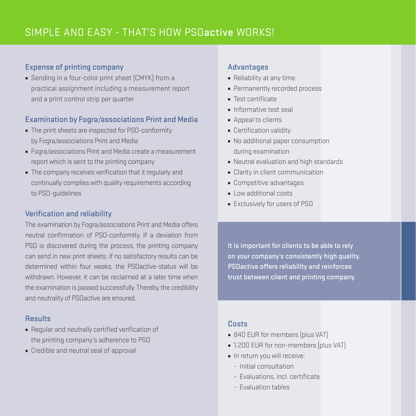## SIMPLE AND EASY - THAT'S HOW PSOactive WORKS!

#### Expense of printing company

■ Sending in a four-color print sheet (CMYK) from a practical assignment including a measurement report and a print control strip per quarter

#### Examination by Fogra/associations Print and Media

- The print sheets are inspected for PSO-conformity by Fogra/associations Print and Media
- Fogra/associations Print and Media create a measurement report which is sent to the printing company
- The company receives verification that it regularly and continually complies with quality requirements according to PSO-guidelines

#### Verification and reliability

The examination by Fogra/associations Print and Media offers neutral confirmation of PSO-conformity. If a deviation from PSO is discovered during the process, the printing company can send in new print sheets. If no satisfactory results can be determined within four weeks, the PSOactive-status will be withdrawn. However, it can be reclaimed at a later time when the examination is passed successfully. Thereby, the credibility and neutrality of PSOactive are ensured.

#### Results

- Regular and neutrally certified verification of the printing company's adherence to PSO
- Credible and neutral seal of approval

#### **Advantages**

- Reliability at any time
- Permanently recorded process
- Test certificate
- Informative test seal
- Appeal to clients
- Certification validity
- No additional paper consumption during examination
- Neutral evaluation and high standards
- Clarity in client communication
- Competitive advantages
- Low additional costs
- Exclusively for users of PSO

It is important for clients to be able to rely on your company's consistently high quality. PSOactive offers reliability and reinforces trust between client and printing company.

#### **Costs**

- 840 EUR for members (plus VAT)
- 1.200 EUR for non-members (plus VAT)
- In return you will receive:
	- Initial consultation
	- Evaluations, incl. certificate
	- Evaluation tables